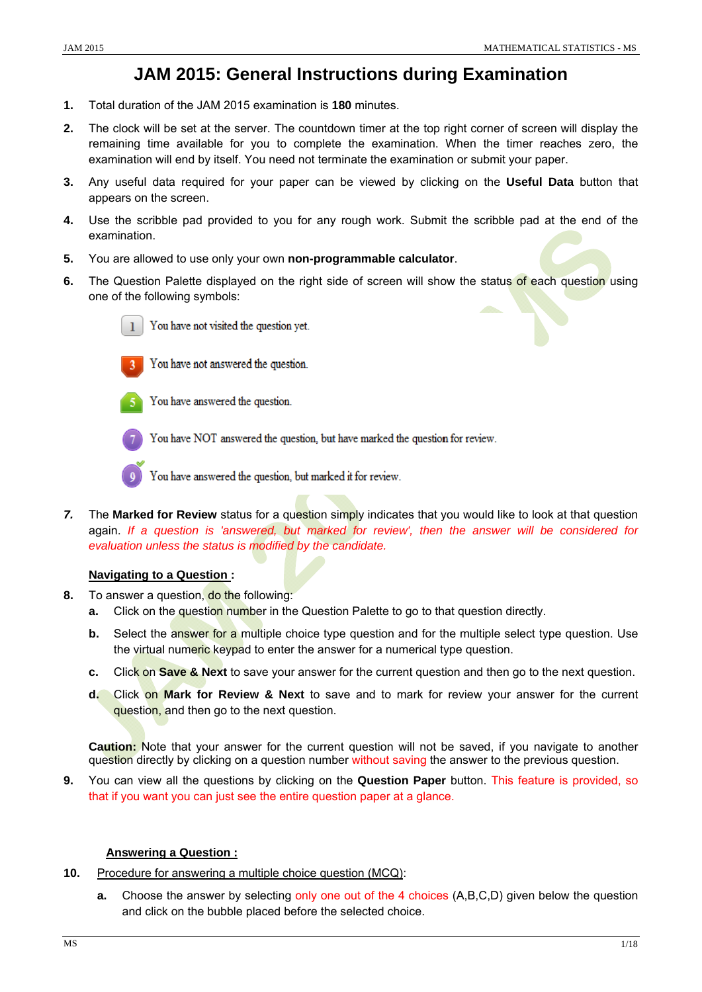# **JAM 2015: General Instructions during Examination**

- **1.** Total duration of the JAM 2015 examination is **180** minutes.
- **2.** The clock will be set at the server. The countdown timer at the top right corner of screen will display the remaining time available for you to complete the examination. When the timer reaches zero, the examination will end by itself. You need not terminate the examination or submit your paper.
- **3.** Any useful data required for your paper can be viewed by clicking on the **Useful Data** button that appears on the screen.
- **4.** Use the scribble pad provided to you for any rough work. Submit the scribble pad at the end of the examination.
- **5.** You are allowed to use only your own **non-programmable calculator**.
- **6.** The Question Palette displayed on the right side of screen will show the status of each question using one of the following symbols:



You have not visited the question yet.



You have not answered the question.

You have answered the question.

You have NOT answered the question, but have marked the question for review.



You have answered the question, but marked it for review.

*7.* The **Marked for Review** status for a question simply indicates that you would like to look at that question again. *If a question is 'answered, but marked for review', then the answer will be considered for evaluation unless the status is modified by the candidate.* 

#### **Navigating to a Question :**

- **8.** To answer a question, do the following:
	- **a.** Click on the question number in the Question Palette to go to that question directly.
	- **b.** Select the answer for a multiple choice type question and for the multiple select type question. Use the virtual numeric keypad to enter the answer for a numerical type question.
	- **c.** Click on **Save & Next** to save your answer for the current question and then go to the next question.
	- **d.** Click on **Mark for Review & Next** to save and to mark for review your answer for the current question, and then go to the next question.

 **Caution:** Note that your answer for the current question will not be saved, if you navigate to another question directly by clicking on a question number without saving the answer to the previous question.

**9.** You can view all the questions by clicking on the **Question Paper** button. This feature is provided, so that if you want you can just see the entire question paper at a glance.

#### **Answering a Question :**

- **10.** Procedure for answering a multiple choice question (MCQ):
	- **a.** Choose the answer by selecting only one out of the 4 choices (A,B,C,D) given below the question and click on the bubble placed before the selected choice.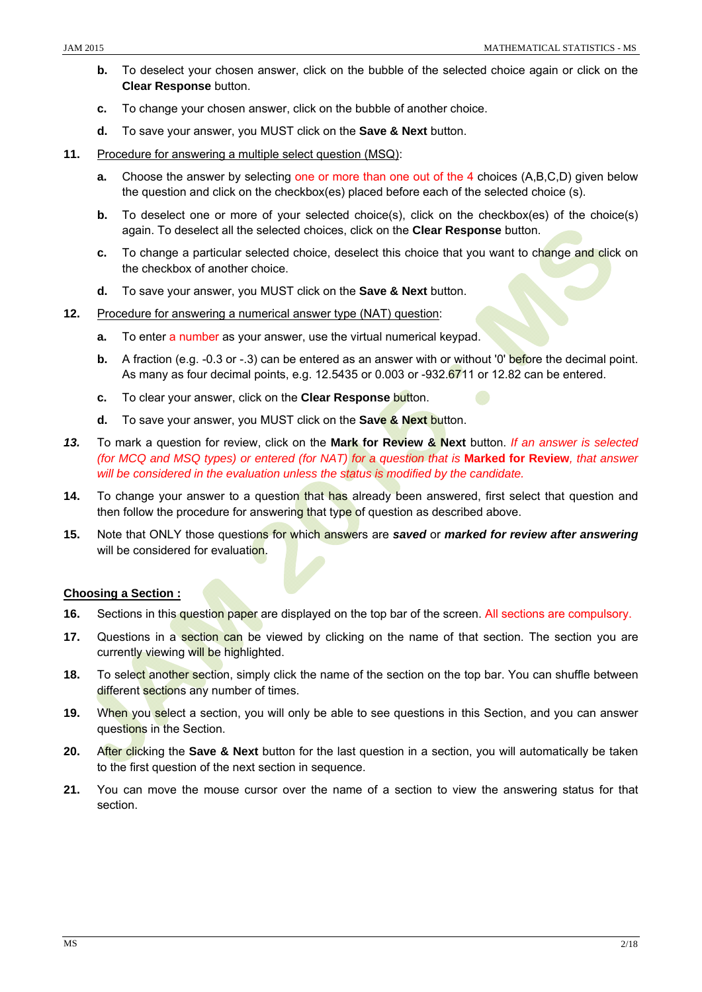- **b.** To deselect your chosen answer, click on the bubble of the selected choice again or click on the **Clear Response** button.
- **c.** To change your chosen answer, click on the bubble of another choice.
- **d.** To save your answer, you MUST click on the **Save & Next** button.
- **11.** Procedure for answering a multiple select question (MSQ):
	- **a.** Choose the answer by selecting one or more than one out of the 4 choices (A,B,C,D) given below the question and click on the checkbox(es) placed before each of the selected choice (s).
	- **b.** To deselect one or more of your selected choice(s), click on the checkbox(es) of the choice(s) again. To deselect all the selected choices, click on the **Clear Response** button.
	- **c.** To change a particular selected choice, deselect this choice that you want to change and click on the checkbox of another choice.
	- **d.** To save your answer, you MUST click on the **Save & Next** button.
- **12.** Procedure for answering a numerical answer type (NAT) question:
	- **a.** To enter a number as your answer, use the virtual numerical keypad.
	- **b.** A fraction (e.g. -0.3 or -.3) can be entered as an answer with or without '0' before the decimal point. As many as four decimal points, e.g. 12.5435 or 0.003 or -932.6711 or 12.82 can be entered.
	- **c.** To clear your answer, click on the **Clear Response** button.
	- **d.** To save your answer, you MUST click on the **Save & Next** button.
- *13.* To mark a question for review, click on the **Mark for Review & Next** button. *If an answer is selected (for MCQ and MSQ types) or entered (for NAT) for a question that is* **Marked for Review***, that answer will be considered in the evaluation unless the status is modified by the candidate.*
- **14.** To change your answer to a question that has already been answered, first select that question and then follow the procedure for answering that type of question as described above.
- **15.** Note that ONLY those questions for which answers are *saved* or *marked for review after answering*  will be considered for evaluation.

### **Choosing a Section :**

- **16.** Sections in this question paper are displayed on the top bar of the screen. All sections are compulsory.
- **17.** Questions in a section can be viewed by clicking on the name of that section. The section you are currently viewing will be highlighted.
- **18.** To select another section, simply click the name of the section on the top bar. You can shuffle between different sections any number of times.
- **19.** When you select a section, you will only be able to see questions in this Section, and you can answer questions in the Section.
- **20.** After clicking the **Save & Next** button for the last question in a section, you will automatically be taken to the first question of the next section in sequence.
- **21.** You can move the mouse cursor over the name of a section to view the answering status for that section.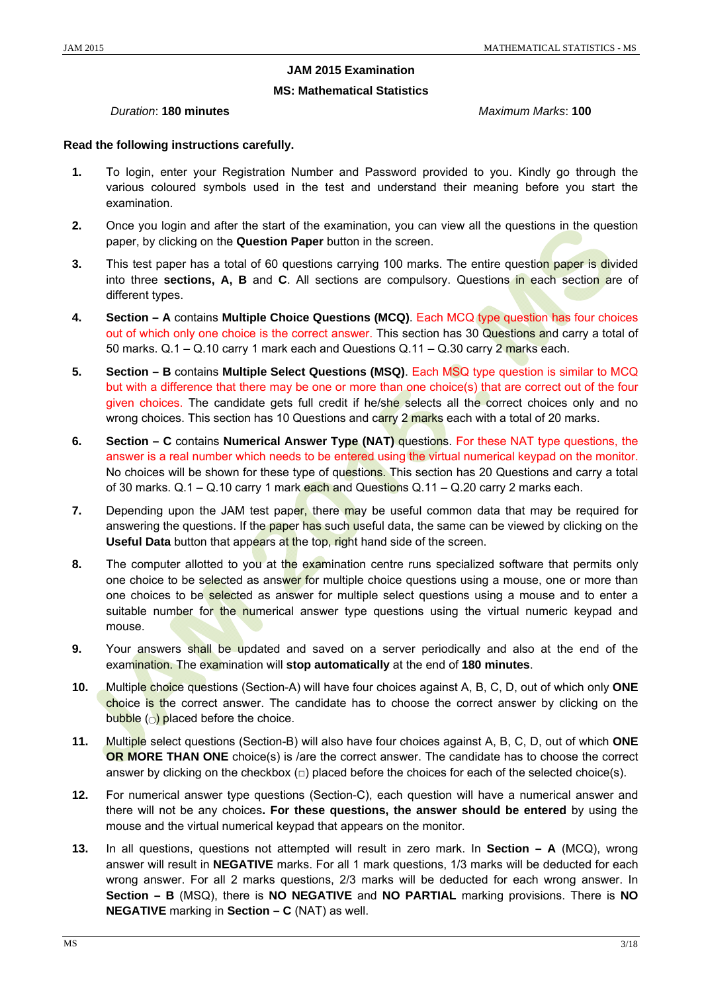#### **JAM 2015 Examination**

#### **MS: Mathematical Statistics**

#### *Duration*: **180 minutes** *Maximum Marks*: **100**

#### **Read the following instructions carefully.**

- **1.** To login, enter your Registration Number and Password provided to you. Kindly go through the various coloured symbols used in the test and understand their meaning before you start the examination.
- **2.** Once you login and after the start of the examination, you can view all the questions in the question paper, by clicking on the **Question Paper** button in the screen.
- **3.** This test paper has a total of 60 questions carrying 100 marks. The entire question paper is divided into three **sections, A, B** and **C**. All sections are compulsory. Questions in each section are of different types.
- **4. Section A** contains **Multiple Choice Questions (MCQ)**. Each MCQ type question has four choices out of which only one choice is the correct answer. This section has 30 Questions and carry a total of 50 marks.  $Q.1 - Q.10$  carry 1 mark each and Questions  $Q.11 - Q.30$  carry 2 marks each.
- **5. Section B** contains **Multiple Select Questions (MSQ)**. Each MSQ type question is similar to MCQ but with a difference that there may be one or more than one choice(s) that are correct out of the four given choices. The candidate gets full credit if he/she selects all the correct choices only and no wrong choices. This section has 10 Questions and carry 2 marks each with a total of 20 marks.
- **6. Section C** contains **Numerical Answer Type (NAT)** questions. For these NAT type questions, the answer is a real number which needs to be entered using the virtual numerical keypad on the monitor. No choices will be shown for these type of questions. This section has 20 Questions and carry a total of 30 marks.  $Q.1 - Q.10$  carry 1 mark each and Questions  $Q.11 - Q.20$  carry 2 marks each.
- **7.** Depending upon the JAM test paper, there may be useful common data that may be required for answering the questions. If the paper has such useful data, the same can be viewed by clicking on the **Useful Data** button that appears at the top, right hand side of the screen.
- **8.** The computer allotted to you at the examination centre runs specialized software that permits only one choice to be selected as answer for multiple choice questions using a mouse, one or more than one choices to be selected as answer for multiple select questions using a mouse and to enter a suitable number for the numerical answer type questions using the virtual numeric keypad and mouse.
- **9.** Your answers shall be updated and saved on a server periodically and also at the end of the examination. The examination will **stop automatically** at the end of **180 minutes**.
- **10.** Multiple choice questions (Section-A) will have four choices against A, B, C, D, out of which only **ONE**  choice is the correct answer. The candidate has to choose the correct answer by clicking on the bubble ( $\bigcirc$ ) placed before the choice.
- **11.** Multiple select questions (Section-B) will also have four choices against A, B, C, D, out of which **ONE OR MORE THAN ONE** choice(s) is /are the correct answer. The candidate has to choose the correct answer by clicking on the checkbox  $\Box$ ) placed before the choices for each of the selected choice(s).
- **12.** For numerical answer type questions (Section-C), each question will have a numerical answer and there will not be any choices**. For these questions, the answer should be entered** by using the mouse and the virtual numerical keypad that appears on the monitor.
- **13.** In all questions, questions not attempted will result in zero mark. In **Section A** (MCQ), wrong answer will result in **NEGATIVE** marks. For all 1 mark questions, 1/3 marks will be deducted for each wrong answer. For all 2 marks questions, 2/3 marks will be deducted for each wrong answer. In **Section – B** (MSQ), there is **NO NEGATIVE** and **NO PARTIAL** marking provisions. There is **NO NEGATIVE** marking in **Section – C** (NAT) as well.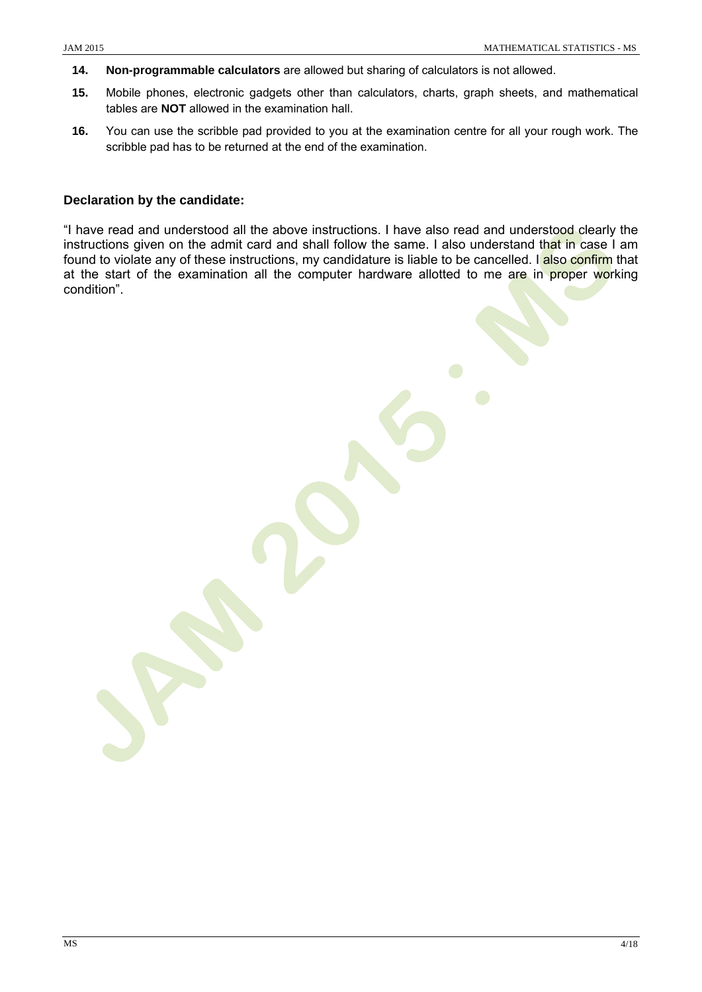- **14. Non-programmable calculators** are allowed but sharing of calculators is not allowed.
- **15.** Mobile phones, electronic gadgets other than calculators, charts, graph sheets, and mathematical tables are **NOT** allowed in the examination hall.
- **16.** You can use the scribble pad provided to you at the examination centre for all your rough work. The scribble pad has to be returned at the end of the examination.

#### **Declaration by the candidate:**

"I have read and understood all the above instructions. I have also read and understood clearly the instructions given on the admit card and shall follow the same. I also understand that in case I am found to violate any of these instructions, my candidature is liable to be cancelled. I also confirm that at the start of the examination all the computer hardware allotted to me are in proper working condition".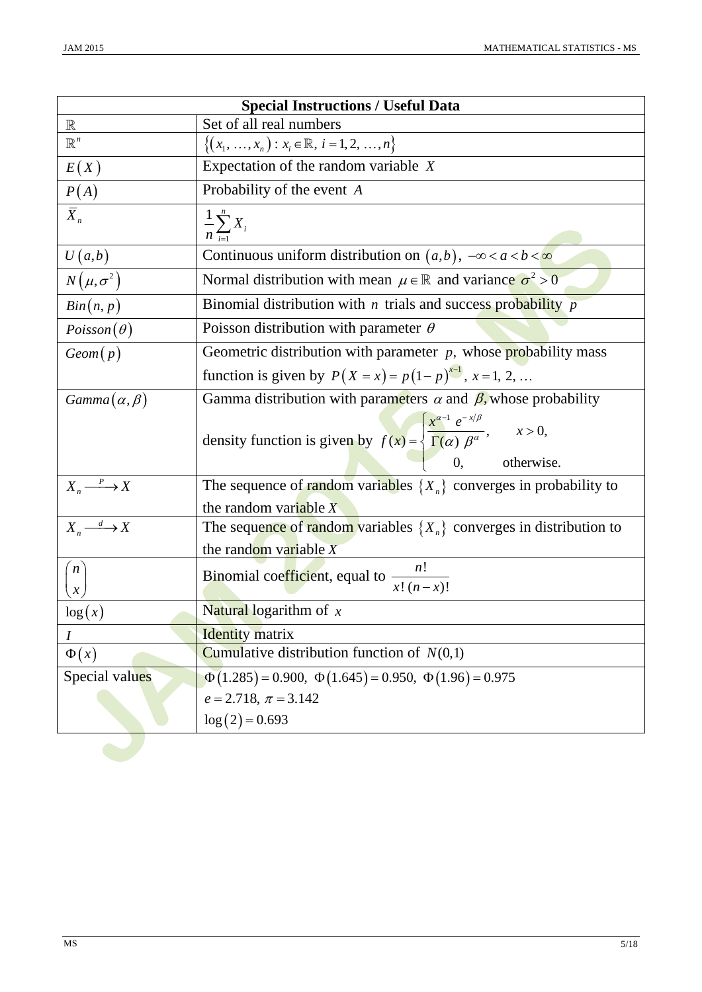| <b>Special Instructions / Useful Data</b> |                                                                                                                                                                   |  |  |  |
|-------------------------------------------|-------------------------------------------------------------------------------------------------------------------------------------------------------------------|--|--|--|
| $\mathbb R$                               | Set of all real numbers                                                                                                                                           |  |  |  |
| $\mathbb{R}^n$                            | $\{(x_1, , x_n): x_i \in \mathbb{R}, i = 1, 2, , n\}$                                                                                                             |  |  |  |
| E(X)                                      | Expectation of the random variable $X$                                                                                                                            |  |  |  |
| $\frac{P(A)}{\overline{X}_n}$             | Probability of the event A                                                                                                                                        |  |  |  |
|                                           | $\frac{1}{n}\sum_{i=1}^{n}X_{i}$                                                                                                                                  |  |  |  |
| U(a,b)                                    | Continuous uniform distribution on $(a,b)$ , $-\infty < a < b < \infty$                                                                                           |  |  |  |
| $N(\mu, \sigma^2)$                        | Normal distribution with mean $\mu \in \mathbb{R}$ and variance $\sigma^2 > 0$                                                                                    |  |  |  |
| Bin(n, p)                                 | Binomial distribution with <i>n</i> trials and success probability $p$                                                                                            |  |  |  |
| $Poisson(\theta)$                         | Poisson distribution with parameter $\theta$                                                                                                                      |  |  |  |
| Geom(p)                                   | Geometric distribution with parameter $p$ , whose probability mass                                                                                                |  |  |  |
|                                           | function is given by $P(X = x) = p(1-p)^{-1}$ , $x = 1, 2, $                                                                                                      |  |  |  |
| $Gamma(\alpha, \beta)$                    | Gamma distribution with parameters $\alpha$ and $\beta$ , whose probability                                                                                       |  |  |  |
|                                           | density function is given by $f(x) = \begin{cases} \frac{x^{\alpha-1} e^{-x/\beta}}{\Gamma(\alpha) \beta^{\alpha}}, \\ \end{cases}$<br>$x > 0$ ,<br>0, otherwise. |  |  |  |
| $X_n \xrightarrow{P} X$                   | The sequence of random variables $\{X_n\}$ converges in probability to                                                                                            |  |  |  |
|                                           | the random variable $X$                                                                                                                                           |  |  |  |
| $X_n \xrightarrow{d} X$                   | The sequence of random variables $\{X_n\}$ converges in distribution to                                                                                           |  |  |  |
|                                           | the random variable $X$                                                                                                                                           |  |  |  |
| $\boldsymbol{n}$<br>$\mathcal{X}$         | Binomial coefficient, equal to $\frac{n!}{x!(n-x)!}$                                                                                                              |  |  |  |
| $\log(x)$                                 | Natural logarithm of $x$                                                                                                                                          |  |  |  |
| $\boldsymbol{I}$                          | <b>Identity matrix</b>                                                                                                                                            |  |  |  |
| $\Phi(x)$                                 | Cumulative distribution function of $N(0,1)$                                                                                                                      |  |  |  |
| Special values                            | $\Phi(1.285) = 0.900, \Phi(1.645) = 0.950, \Phi(1.96) = 0.975$                                                                                                    |  |  |  |
|                                           | $e = 2.718$ , $\pi = 3.142$                                                                                                                                       |  |  |  |
|                                           | $log(2) = 0.693$                                                                                                                                                  |  |  |  |
|                                           |                                                                                                                                                                   |  |  |  |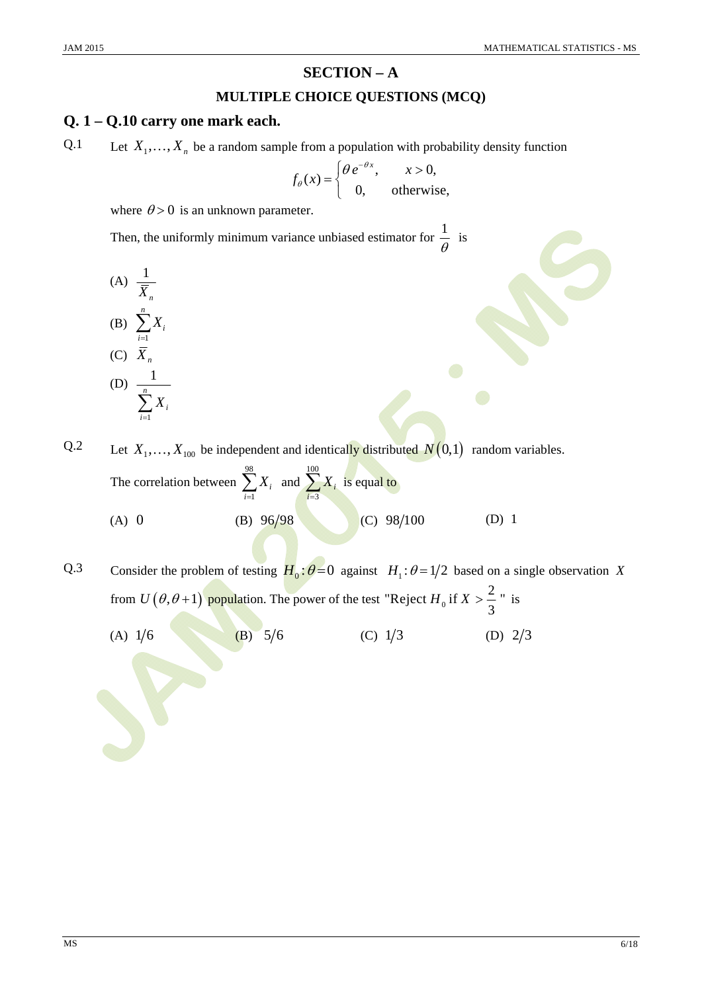# **SECTION – A**

# **MULTIPLE CHOICE QUESTIONS (MCQ)**

## **Q. 1 – Q.10 carry one mark each.**

Q.1 Let  $X_1, \ldots, X_n$  be a random sample from a population with probability density function

$$
f_{\theta}(x) = \begin{cases} \theta e^{-\theta x}, & x > 0, \\ 0, & \text{otherwise,} \end{cases}
$$

where  $\theta > 0$  is an unknown parameter.

Then, the uniformly minimum variance unbiased estimator for  $\frac{1}{\theta}$  is



Q.2 Let  $X_1, ..., X_{100}$  be independent and identically distributed  $N(0,1)$  random variables. The correlation between 98 1 *i i X*  $\sum_{i=1}^{98} X_i$  and  $\sum_{i=3}^{100}$ 3 *i i X*  $\sum_{i=3} X_i$  is equal to (A) 0 (B)  $96/98$  (C)  $98/100$  (D) 1

Q.3 Consider the problem of testing  $H_0: \theta = 0$  against  $H_1: \theta = 1/2$  based on a single observation *X* from  $U(\theta, \theta+1)$  population. The power of the test "Reject  $H_0$  if  $X > \frac{2}{3}$ "  $H_0$  if  $X > \frac{2}{3}$  " is

(A)  $1/6$  (B)  $5/6$  (C)  $1/3$  (D)  $2/3$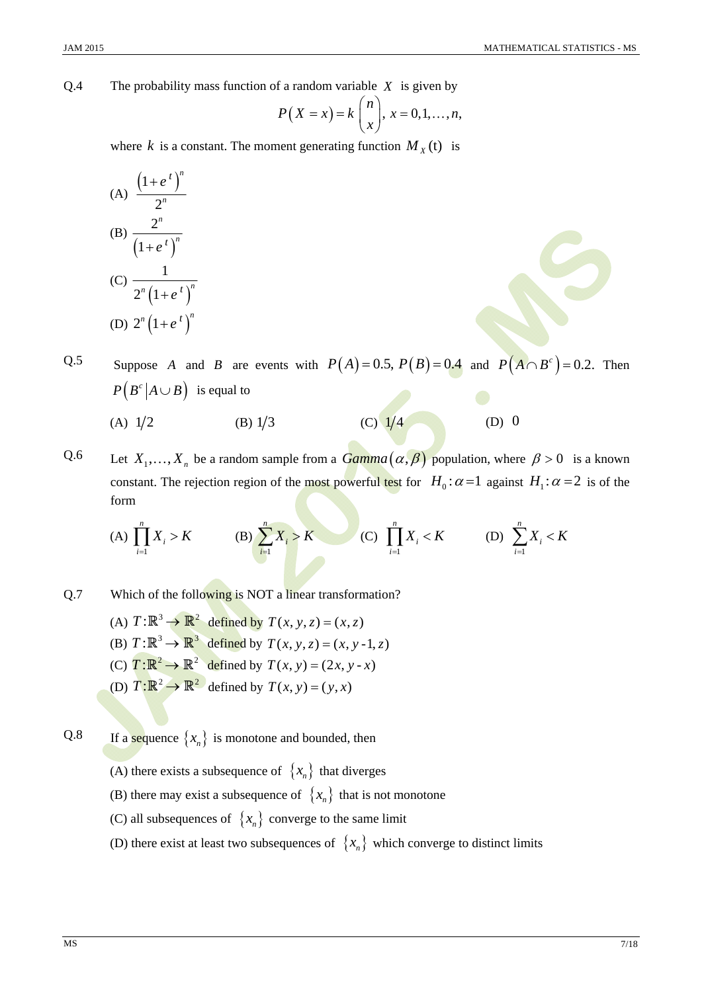Q.4 The probability mass function of a random variable *X* is given by

$$
P(X = x) = k {n \choose x}, x = 0, 1, \dots, n,
$$

where *k* is a constant. The moment generating function  $M_X(t)$  is

(A) 
$$
\frac{\left(1+e^{t}\right)^{n}}{2^{n}}
$$
  
\n(B) 
$$
\frac{2^{n}}{\left(1+e^{t}\right)^{n}}
$$
  
\n(C) 
$$
\frac{1}{2^{n}\left(1+e^{t}\right)^{n}}
$$
  
\n(D) 
$$
2^{n}\left(1+e^{t}\right)^{n}
$$

Q.5 Suppose *A* and *B* are events with  $P(A) = 0.5$ ,  $P(B) = 0.4$  and  $P(A \cap B^c) = 0.2$ . Then  $P(B^c | A \cup B)$  is equal to (A)  $1/2$  (B)  $1/3$  (C)  $1/4$  (D) 0

Q.6 Let  $X_1, ..., X_n$  be a random sample from a  $Gamma(\alpha, \beta)$  population, where  $\beta > 0$  is a known constant. The rejection region of the most powerful test for  $H_0$ :  $\alpha$  = 1 against  $H_1$ :  $\alpha$  = 2 is of the form

(A) 
$$
\prod_{i=1}^{n} X_i > K
$$
 (B)  $\sum_{i=1}^{n} X_i > K$  (C)  $\prod_{i=1}^{n} X_i < K$  (D)  $\sum_{i=1}^{n} X_i < K$ 

Q.7 Which of the following is NOT a linear transformation?

- (A)  $T: \mathbb{R}^3 \to \mathbb{R}^2$  defined by  $T(x, y, z) = (x, z)$
- (B)  $T: \mathbb{R}^3 \to \mathbb{R}^3$  defined by  $T(x, y, z) = (x, y -1, z)$
- (C)  $T: \mathbb{R}^2 \to \mathbb{R}^2$  defined by  $T(x, y) = (2x, y x)$
- (D)  $T: \mathbb{R}^2 \to \mathbb{R}^2$  defined by  $T(x, y) = (y, x)$
- Q.8 If a sequence  $\{x_n\}$  is monotone and bounded, then
	- (A) there exists a subsequence of  $\{x_n\}$  that diverges
	- (B) there may exist a subsequence of  $\{x_n\}$  that is not monotone
	- (C) all subsequences of  $\{x_n\}$  converge to the same limit
	- (D) there exist at least two subsequences of  $\{x_n\}$  which converge to distinct limits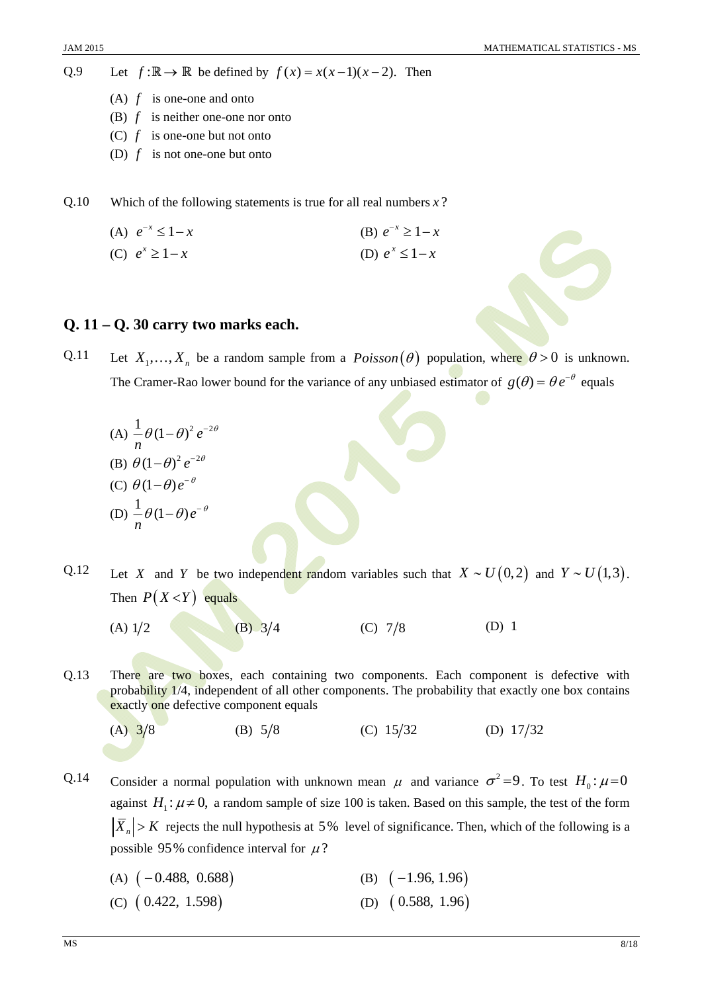Q.9 Let  $f: \mathbb{R} \to \mathbb{R}$  be defined by  $f(x) = x(x-1)(x-2)$ . Then

- (A) *f* is one-one and onto
- (B) *f* is neither one-one nor onto
- (C) *f* is one-one but not onto
- (D) *f* is not one-one but onto
- Q.10 Which of the following statements is true for all real numbers *x* ?
	- (A)  $e^{-x} \le 1 x$  (B)  $e^{-x} \ge 1 x$
	- (C)  $e^x \ge 1 x$  (D)  $e^x \le 1 x$

#### **Q. 11 – Q. 30 carry two marks each.**

- Q.11 Let  $X_1, ..., X_n$  be a random sample from a *Poisson*  $(\theta)$  population, where  $\theta > 0$  is unknown. The Cramer-Rao lower bound for the variance of any unbiased estimator of  $g(\theta) = \theta e^{-\theta}$  equals
	- (A)  $\frac{1}{\theta}(\theta(1-\theta)^2)e^{-2}$ *n*  $\theta(1-\theta)^2 e^{-2\theta}$ (B)  $\theta (1-\theta)^2 e^{-2\theta}$ (C)  $\theta(1-\theta)e^{-\theta}$ (D)  $\frac{1}{\theta}(\theta - \theta)e$ *n*  $\theta(1-\theta)e^{-\theta}$
- Q.12 Let *X* and *Y* be two independent random variables such that  $X \sim U(0,2)$  and  $Y \sim U(1,3)$ . Then  $P(X < Y)$  equals
	- (A)  $1/2$  (B)  $3/4$  (C)  $7/8$  (D) 1
- Q.13 There are two boxes, each containing two components. Each component is defective with probability 1/4, independent of all other components. The probability that exactly one box contains exactly one defective component equals
	- (A)  $3/8$  (B)  $5/8$  (C)  $15/32$  (D)  $17/32$
- Q.14 Consider a normal population with unknown mean  $\mu$  and variance  $\sigma^2 = 9$ . To test  $H_0: \mu = 0$ against  $H_1$ :  $\mu \neq 0$ , a random sample of size 100 is taken. Based on this sample, the test of the form  $|\overline{X}_n| > K$  rejects the null hypothesis at 5% level of significance. Then, which of the following is a possible 95% confidence interval for  $\mu$ ?
	- (A)  $(-0.488, 0.688)$  (B)  $(-1.96, 1.96)$ (C)  $(0.422, 1.598)$  (D)  $(0.588, 1.96)$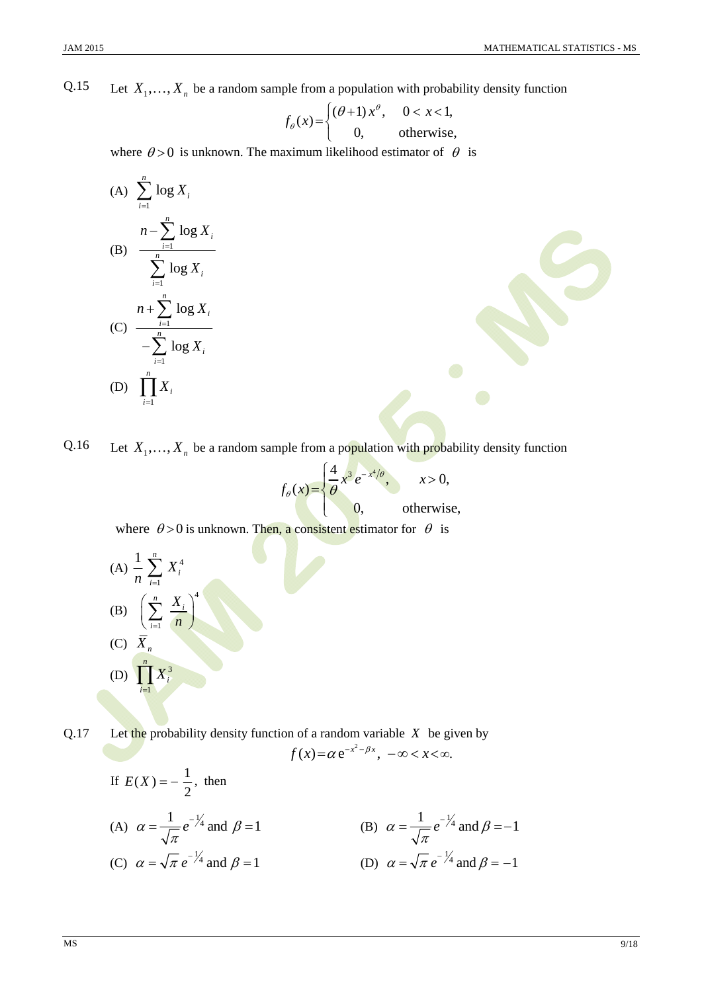Q.15 Let  $X_1, ..., X_n$  be a random sample from a population with probability density function

$$
f_{\theta}(x) = \begin{cases} (\theta + 1) x^{\theta}, & 0 < x < 1, \\ 0, & \text{otherwise,} \end{cases}
$$

where  $\theta > 0$  is unknown. The maximum likelihood estimator of  $\theta$  is

(A) 
$$
\sum_{i=1}^{n} \log X_i
$$
  
\n(B) 
$$
\frac{n - \sum_{i=1}^{n} \log X_i}{\sum_{i=1}^{n} \log X_i}
$$
  
\n(C) 
$$
\frac{n + \sum_{i=1}^{n} \log X_i}{-\sum_{i=1}^{n} \log X_i}
$$
  
\n(D) 
$$
\prod_{i=1}^{n} X_i
$$

Q.16 Let  $X_1, ..., X_n$  be a random sample from a population with probability density function

| $f_q(x) = \sqrt{\frac{4}{\theta}} x^3 e^{-x^4/\theta}$ | $x>0$ ,    |
|--------------------------------------------------------|------------|
|                                                        | otherwise, |

where  $\theta > 0$  is unknown. Then, a consistent estimator for  $\theta$  is

 $(A) \stackrel{1}{\longrightarrow} \sum X_i^4$ 1  $1 \in \mathbb{R}$ *i i X*  $\frac{1}{n}$   $\sum_{i=1}$ (B) 4 1  $\sum_{i=1}^{n} X_i$ *i X*  $\left(\sum_{i=1}^n \frac{X_i}{n}\right)$ (C)  $\overline{X}_1$ (D)  $\prod^n X_i^3$ 1 *i X i* =

Q.17 Let the probability density function of a random variable  $X$  be given by

$$
f(x) = \alpha e^{-x^2 - \beta x}, \quad -\infty < x < \infty.
$$

If 
$$
E(X) = -\frac{1}{2}
$$
, then  
\n(A)  $\alpha = \frac{1}{\sqrt{\pi}} e^{-\frac{1}{4}} \text{ and } \beta = 1$   
\n(B)  $\alpha = \frac{1}{\sqrt{\pi}} e^{-\frac{1}{4}} \text{ and } \beta = -1$   
\n(C)  $\alpha = \sqrt{\pi} e^{-\frac{1}{4}} \text{ and } \beta = 1$   
\n(D)  $\alpha = \sqrt{\pi} e^{-\frac{1}{4}} \text{ and } \beta = -1$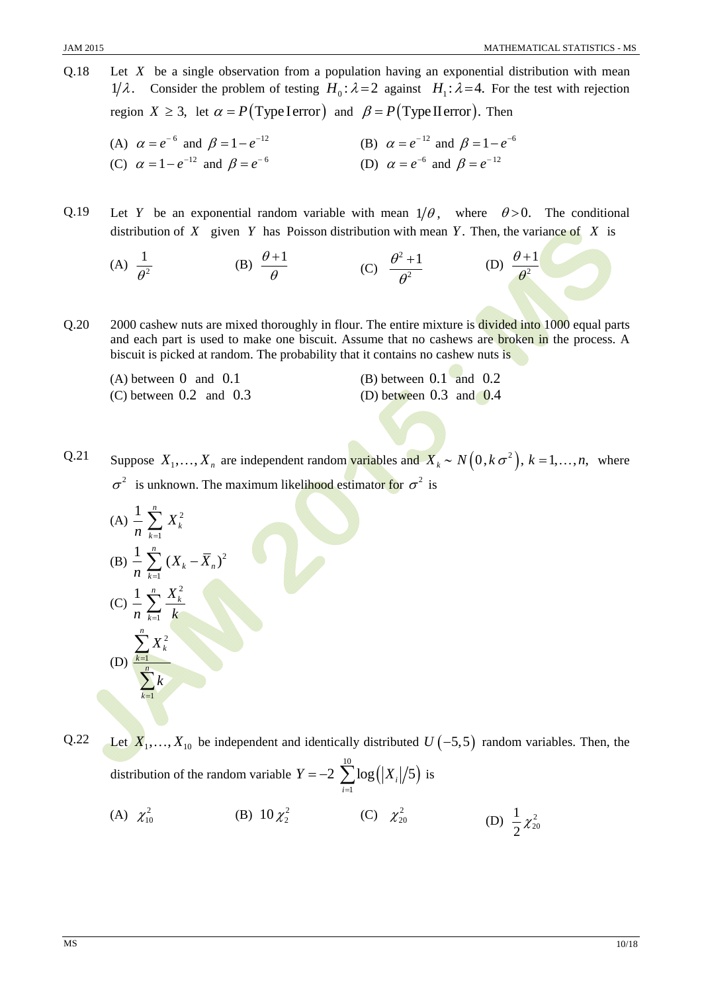Q.18 Let *X* be a single observation from a population having an exponential distribution with mean  $1/\lambda$ . Consider the problem of testing  $H_0$ :  $\lambda = 2$  against  $H_1$ :  $\lambda = 4$ . For the test with rejection region  $X \ge 3$ , let  $\alpha = P(Type1error)$  and  $\beta = P(Type1Error)$ . Then

(A)  $\alpha = e^{-6}$  and  $\beta = 1 - e^{-12}$  (B)  $\alpha = e^{-12}$  and  $\beta = 1 - e^{-6}$ (C)  $\alpha = 1 - e^{-12}$  and  $\beta = e^{-6}$  (D)  $\alpha = e^{-6}$  and  $\beta = e^{-12}$ 

Q.19 Let *Y* be an exponential random variable with mean  $1/\theta$ , where  $\theta > 0$ . The conditional distribution of *X* given *Y* has Poisson distribution with mean *Y*. Then, the variance of *X* is

(A) 
$$
\frac{1}{\theta^2}
$$
 \t(B)  $\frac{\theta+1}{\theta}$  \t(C)  $\frac{\theta^2+1}{\theta^2}$  \t(D)  $\frac{\theta+1}{\theta^2}$ 

Q.20 2000 cashew nuts are mixed thoroughly in flour. The entire mixture is divided into 1000 equal parts and each part is used to make one biscuit. Assume that no cashews are **broken in** the process. A biscuit is picked at random. The probability that it contains no cashew nuts is

| $(A)$ between 0 and 0.1     | (B) between $0.1$ and $0.2$ |  |  |
|-----------------------------|-----------------------------|--|--|
| (C) between $0.2$ and $0.3$ | (D) between $0.3$ and $0.4$ |  |  |

Q.21 Suppose  $X_1, ..., X_n$  are independent random variables and  $X_k \sim N(0, k \sigma^2)$ ,  $k = 1, ..., n$ , where  $\sigma^2$  is unknown. The maximum likelihood estimator for  $\sigma^2$  is

 $(A) \stackrel{1}{-} \sum X_k^2$ 1  $1 \sqrt{\frac{n}{n}}$ *k k X*  $\frac{1}{n}$   $\sum_{k=1}$ (B)  $\frac{1}{2} \sum (X_k - \overline{X}_n)^2$ 1  $\frac{1}{n} \sum_{k=1}^{n} (X_k - \overline{X}_n)$  $k - \Lambda_n$ *k*  $X_{k} - \overline{X}$  $\frac{1}{n} \sum_{k=1}^n (X_k -$ (C) 2 1  $1 \sum_{k=1}^{n} X_k^2$ *k X*  $\frac{1}{n}$   $\sum_{k=1}^{\infty} \frac{\Lambda}{k}$ (D) 2 1 *n k k n X k* =  $\sum$  $\sum$ 

1

=

*k*

- Q.22 Let  $X_1, ..., X_{10}$  be independent and identically distributed  $U(-5, 5)$  random variables. Then, the distribution of the random variable  $Y = -2 \sum \log(|X_i|/5)$ 10 1  $2 \sum \log (|X_i|/5)$ *i Y* = –2  $\sum \log |X|$  $=-2\sum_{i=1}^{n} \log (|X_i|/5)$  is
	- (A)  $\chi^2_{10}$  (B)  $10\chi^2_{2}$  (C)  $\chi^2_{20}$  (D)  $\frac{1}{2}\chi^2_{2}$ 20 1  $\frac{1}{2}$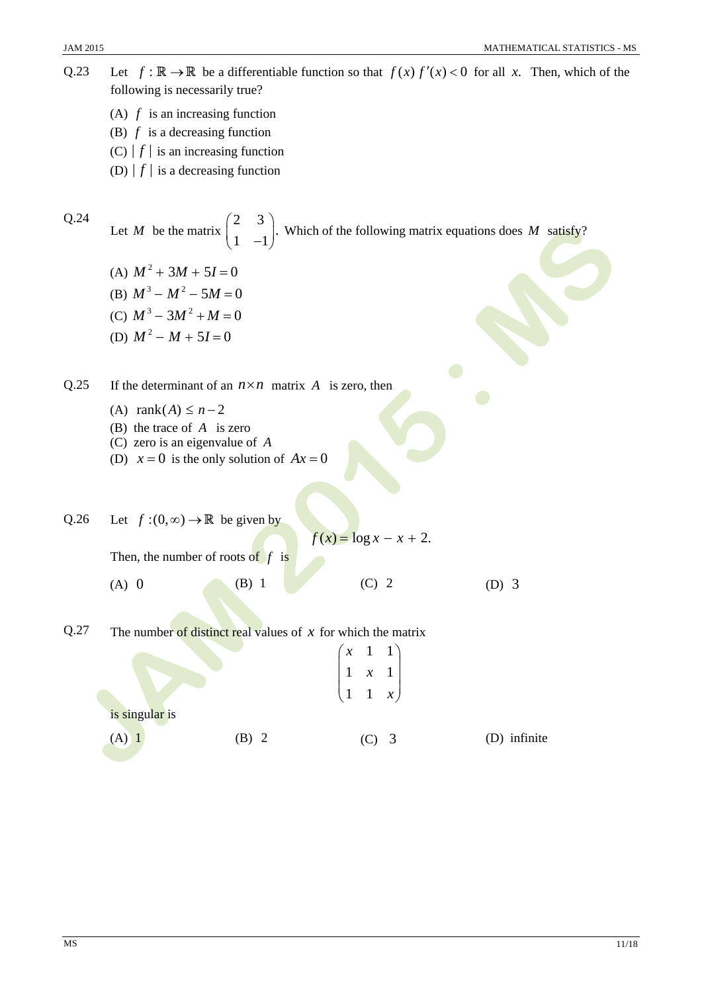- Q.23 Let  $f : \mathbb{R} \to \mathbb{R}$  be a differentiable function so that  $f(x) f'(x) < 0$  for all x. Then, which of the following is necessarily true?
	- (A) *f* is an increasing function
	- (B)  $f$  is a decreasing function
	- (C)  $|f|$  is an increasing function
	- (D)  $|f|$  is a decreasing function

Q.24 Let *M* be the matrix 
$$
\begin{pmatrix} 2 & 3 \\ 1 & -1 \end{pmatrix}
$$
. Which of the following matrix equations does *M* satisfy?

- (A)  $M^2 + 3M + 5I = 0$
- (B)  $M^3 M^2 5M = 0$
- (C)  $M^3 3M^2 + M = 0$
- (D)  $M^2 M + 5I = 0$

Q.25 If the determinant of an  $n \times n$  matrix *A* is zero, then

- (A) rank $(A) \leq n-2$
- (B) the trace of *A* is zero
- (C) zero is an eigenvalue of *A*
- (D)  $x = 0$  is the only solution of  $Ax = 0$
- Q.26 Let  $f:(0,\infty) \to \mathbb{R}$  be given by

$$
f(x) = \log x - x + 2.
$$

Then, the number of roots of  $f$  is

- (A) 0 (B) 1 (C) 2 (D) 3
- Q.27 The number of distinct real values of  $x$  for which the matrix

| is singular is |       | $\begin{pmatrix} x & 1 & 1 \end{pmatrix}$<br>$\begin{pmatrix} 1 & x & 1 \\ 1 & 1 & x \end{pmatrix}$ |              |
|----------------|-------|-----------------------------------------------------------------------------------------------------|--------------|
| $(A)$ 1        | (B) 2 | (C) 3                                                                                               | (D) infinite |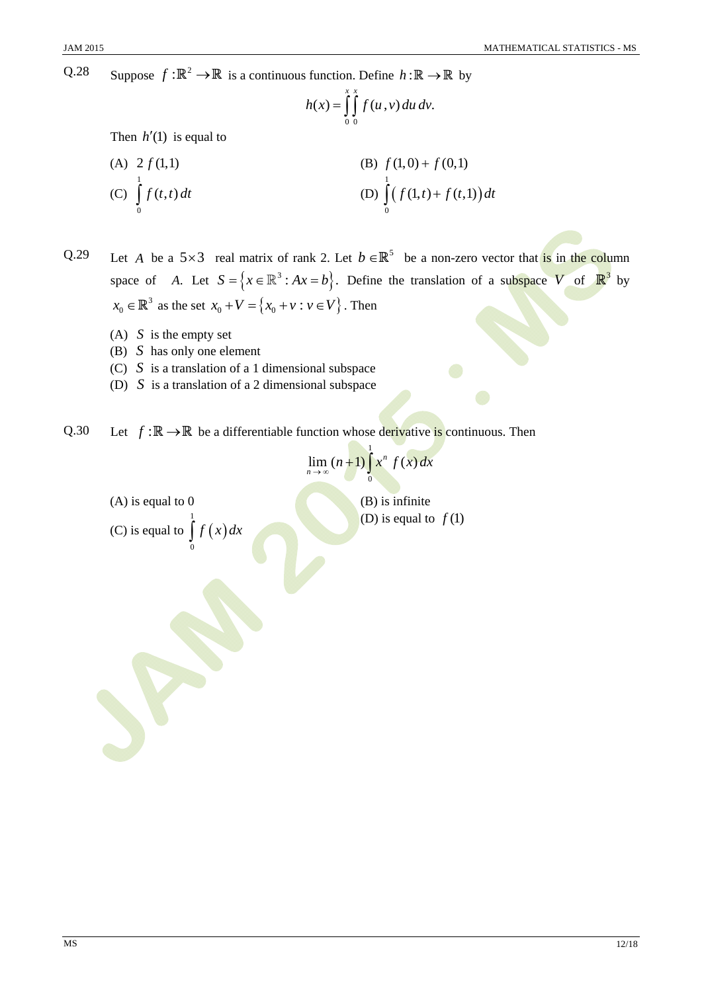Q.28 Suppose  $f : \mathbb{R}^2 \to \mathbb{R}$  is a continuous function. Define  $h : \mathbb{R} \to \mathbb{R}$  by

$$
h(x) = \int_{0}^{x} \int_{0}^{x} f(u, v) du dv.
$$

Then  $h'(1)$  is equal to

(A) 
$$
2 f(1,1)
$$
  
\n(B)  $f(1,0) + f(0,1)$   
\n(C)  $\int_{0}^{1} f(t,t) dt$   
\n(D)  $\int_{0}^{1} (f(1,t) + f(t,1)) dt$ 

Q.29 Let *A* be a  $5 \times 3$  real matrix of rank 2. Let  $b \in \mathbb{R}^5$  be a non-zero vector that is in the column space of *A*. Let  $S = \{x \in \mathbb{R}^3 : Ax = b\}$ . Define the translation of a subspace *V* of  $\mathbb{R}^3$  by  $x_0 \in \mathbb{R}^3$  as the set  $x_0 + V = \{x_0 + v : v \in V\}$ . Then

- (A) *S* is the empty set
- (B) *S* has only one element
- (C) *S* is a translation of a 1 dimensional subspace
- (D) *S* is a translation of a 2 dimensional subspace

Q.30 Let  $f : \mathbb{R} \to \mathbb{R}$  be a differentiable function whose derivative is continuous. Then

$$
\lim_{n\to\infty}(n+1)\int_0^1x^n\,f(x)\,dx
$$

11

 $(A)$  is equal to  $0$  (B) is infinite (C) is equal to  $\big| f(x) \big|$ 1  $\mathbf{0}$ 

*(D)* is equal to  $f(1)$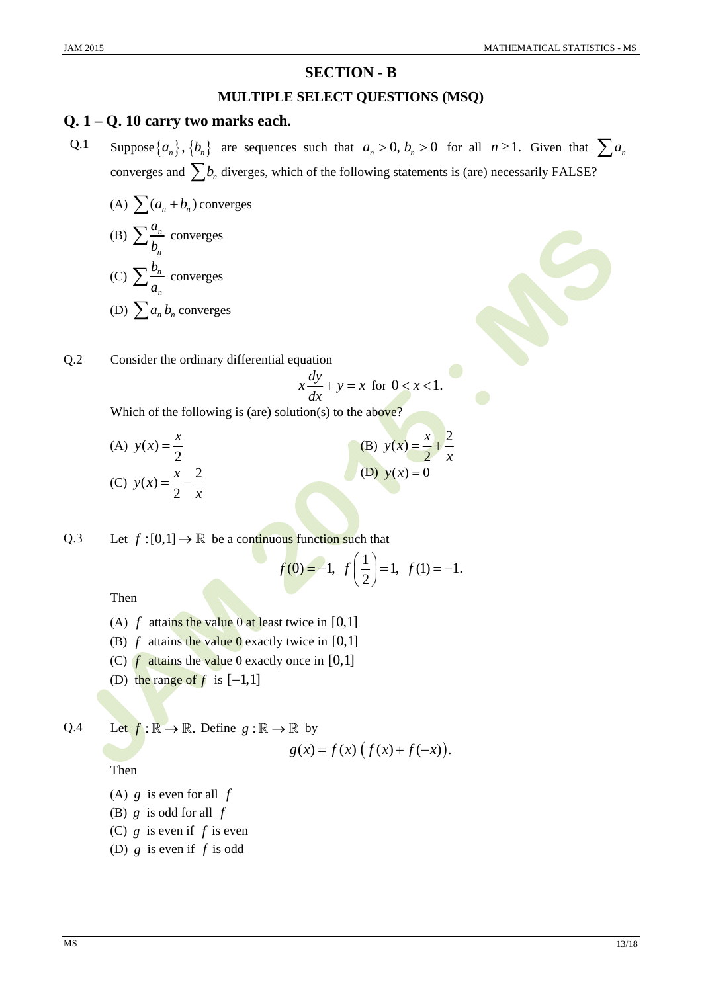# **SECTION - B**

# **MULTIPLE SELECT QUESTIONS (MSQ)**

# **Q. 1 – Q. 10 carry two marks each.**

Q.1 Suppose  $\{a_n\}$ ,  $\{b_n\}$  are sequences such that  $a_n > 0$ ,  $b_n > 0$  for all  $n \ge 1$ . Given that  $\sum a_n$ converges and  $\sum b_n$  diverges, which of the following statements is (are) necessarily FALSE?

(A) 
$$
\sum (a_n + b_n)
$$
 converges  
\n(B)  $\sum \frac{a_n}{b_n}$  converges  
\n(C)  $\sum \frac{b_n}{a_n}$  converges  
\n(D)  $\sum a_n b_n$  converges

Q.2 Consider the ordinary differential equation

$$
x\frac{dy}{dx} + y = x \text{ for } 0 < x < 1.
$$

Which of the following is (are) solution(s) to the above?

(A) 
$$
y(x) = \frac{x}{2}
$$
  
\n(B)  $y(x) = \frac{x}{2} + \frac{2}{x}$   
\n(C)  $y(x) = \frac{x}{2} - \frac{2}{x}$   
\n(D)  $y(x) = 0$ 

Q.3 Let  $f:[0,1] \to \mathbb{R}$  be a continuous function such that

$$
f(0) = -1
$$
,  $f\left(\frac{1}{2}\right) = 1$ ,  $f(1) = -1$ .

Then

- (A)  $f$  attains the value 0 at least twice in [0,1]
- (B)  $f$  attains the value 0 exactly twice in  $[0,1]$
- (C)  $f$  attains the value 0 exactly once in [0,1]
- (D) the range of  $f$  is  $[-1,1]$

Q.4 Let  $f : \mathbb{R} \to \mathbb{R}$ . Define  $g : \mathbb{R} \to \mathbb{R}$  by

$$
g(x) = f(x) (f(x) + f(-x)).
$$

Then

(A) *g* is even for all *f*

- (B) *g* is odd for all *f*
- (C) *g* is even if *f* is even
- (D) *g* is even if *f* is odd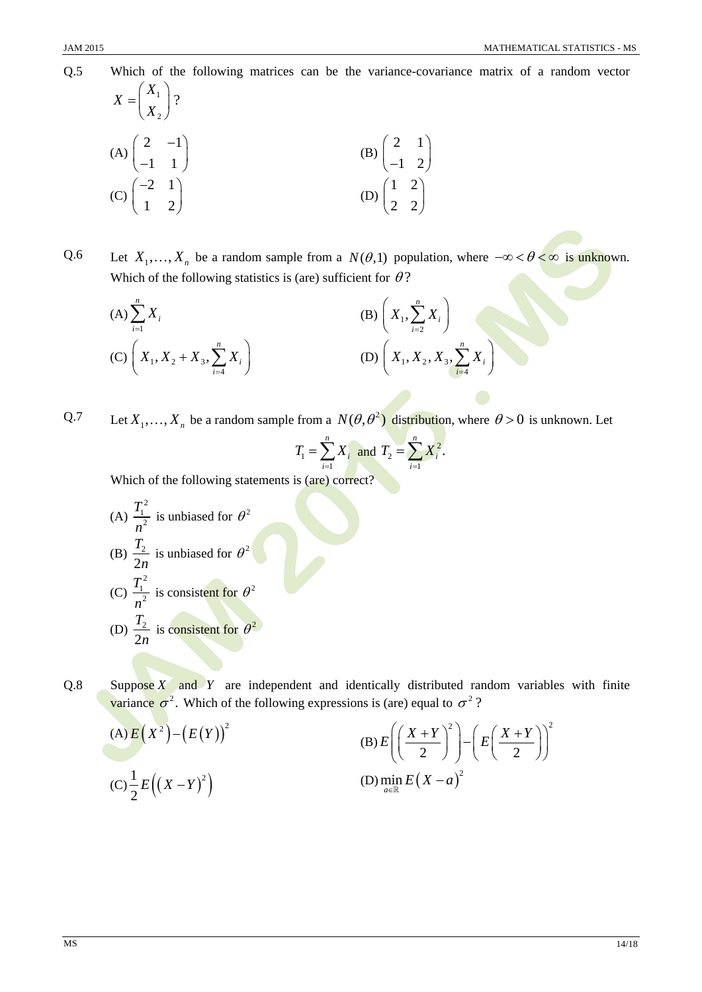Q.5 Which of the following matrices can be the variance-covariance matrix of a random vector 1 2 ? *X X*  $=\left(\frac{X_1}{X_2}\right)$ 

(A) 
$$
\begin{pmatrix} 2 & -1 \\ -1 & 1 \end{pmatrix}
$$
  
\n(B)  $\begin{pmatrix} 2 & 1 \\ -1 & 2 \end{pmatrix}$   
\n(C)  $\begin{pmatrix} -2 & 1 \\ 1 & 2 \end{pmatrix}$   
\n(D)  $\begin{pmatrix} 1 & 2 \\ 2 & 2 \end{pmatrix}$ 

Q.6 Let  $X_1, ..., X_n$  be a random sample from a  $N(\theta, 1)$  population, where  $-\infty < \theta < \infty$  is unknown. Which of the following statistics is (are) sufficient for  $\theta$ ?

(A) 
$$
\sum_{i=1}^{n} X_i
$$
  
\n(B)  $\left(X_1, \sum_{i=2}^{n} X_i\right)$   
\n(C)  $\left(X_1, X_2 + X_3, \sum_{i=4}^{n} X_i\right)$   
\n(D)  $\left(X_1, X_2, X_3, \sum_{i=4}^{n} X_i\right)$ 

Q.7 Let  $X_1, ..., X_n$  be a random sample from a  $N(\theta, \theta^2)$  distribution, where  $\theta > 0$  is unknown. Let

$$
T_1 = \sum_{i=1}^n X_i
$$
 and  $T_2 = \sum_{i=1}^n X_i^2$ .

Which of the following statements is (are) correct?

(A) 
$$
\frac{T_1^2}{n^2}
$$
 is unbiased for  $\theta^2$   
\n(B)  $\frac{T_2}{2n}$  is unbiased for  $\theta^2$   
\n(C)  $\frac{T_1^2}{n^2}$  is consistent for  $\theta^2$   
\n(D)  $\frac{T_2}{2n}$  is consistent for  $\theta^2$ 

Q.8 Suppose *X* and *Y* are independent and identically distributed random variables with finite variance  $\sigma^2$ . Which of the following expressions is (are) equal to  $\sigma^2$ ?

(A) 
$$
E(X^2) - (E(Y))^2
$$
  
\n(B)  $E\left(\left(\frac{X+Y}{2}\right)^2\right) - \left(E\left(\frac{X+Y}{2}\right)\right)^2$   
\n(C)  $\frac{1}{2}E\left((X-Y)^2\right)$   
\n(D)  $\min_{a \in \mathbb{R}} E(X-a)^2$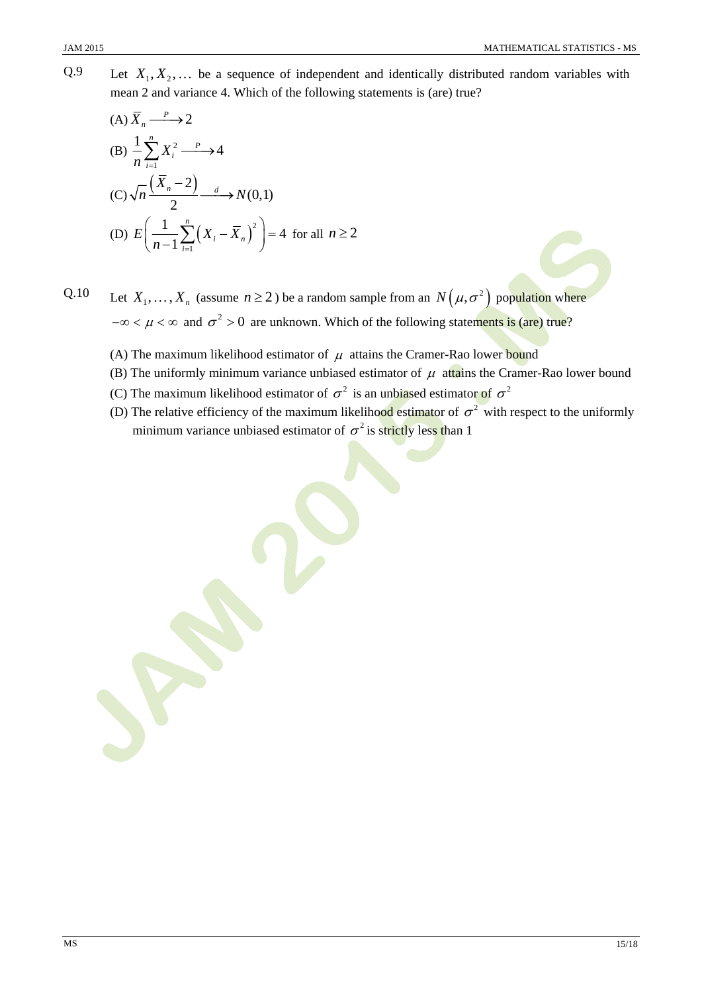Q.9 Let  $X_1, X_2, \ldots$  be a sequence of independent and identically distributed random variables with mean 2 and variance 4. Which of the following statements is (are) true?

(A) 
$$
\bar{X}_n \xrightarrow{P} 2
$$
  
\n(B)  $\frac{1}{n} \sum_{i=1}^n X_i^2 \xrightarrow{P} 4$   
\n(C)  $\sqrt{n} \frac{(\bar{X}_n - 2)}{2} \xrightarrow{d} N(0,1)$   
\n(D)  $E \left( \frac{1}{n-1} \sum_{i=1}^n (X_i - \bar{X}_n)^2 \right) = 4$  for all  $n \ge 2$ 

- Q.10 Let  $X_1, ..., X_n$  (assume  $n \ge 2$ ) be a random sample from an  $N(\mu, \sigma^2)$  population where  $-\infty < \mu < \infty$  and  $\sigma^2 > 0$  are unknown. Which of the following statements is (are) true?
	- (A) The maximum likelihood estimator of  $\mu$  attains the Cramer-Rao lower bound
	- (B) The uniformly minimum variance unbiased estimator of  $\mu$  attains the Cramer-Rao lower bound
	- (C) The maximum likelihood estimator of  $\sigma^2$  is an unbiased estimator of  $\sigma^2$
	- (D) The relative efficiency of the maximum likelihood estimator of  $\sigma^2$  with respect to the uniformly minimum variance unbiased estimator of  $\sigma^2$  is strictly less than 1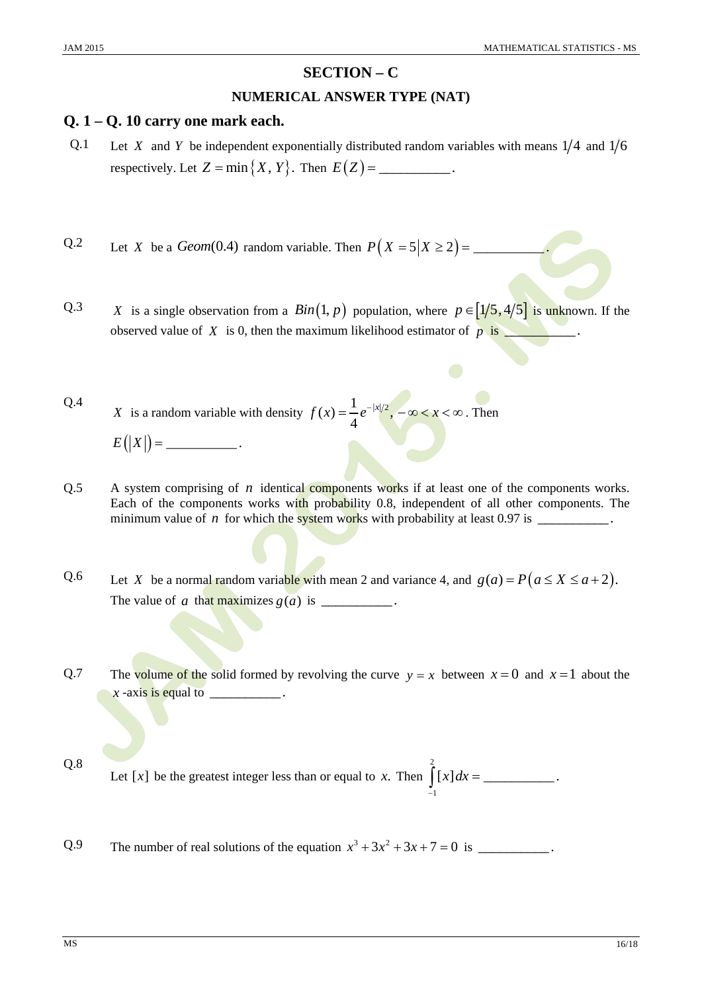# **SECTION – C**

# **NUMERICAL ANSWER TYPE (NAT)**

# **Q. 1 – Q. 10 carry one mark each.**

- Q.1 Let *X* and *Y* be independent exponentially distributed random variables with means  $1/4$  and  $1/6$ respectively. Let  $Z = min\{X, Y\}$ . Then  $E(Z) = \underline{\hspace{2cm}}$ .
- Q.2 Let *X* be a *Geom*(0.4) random variable. Then *PX X* 5 2 \_\_\_\_\_\_\_\_\_\_ .
- Q.3 *X* is a single observation from a  $Bin(1, p)$  population, where  $p \in \left[\frac{1}{5}, \frac{4}{5}\right]$  is unknown. If the observed value of *X* is 0, then the maximum likelihood estimator of  $p$  is
- Q.4 *X* is a random variable with density  $f(x) = \frac{1}{4}e^{-|x|/2}$ ,  $-\infty < x < \infty$ . Then
	- *E X* \_\_\_\_\_\_\_\_\_\_ .
- Q.5 A system comprising of *n* identical components works if at least one of the components works. Each of the components works with probability 0.8, independent of all other components. The minimum value of *n* for which the system works with probability at least 0.97 is \_\_\_\_\_\_\_\_\_\_.
- Q.6 Let *X* be a normal random variable with mean 2 and variance 4, and  $g(a) = P(a \le X \le a + 2)$ . The value of *a* that maximizes  $g(a)$  is
- Q.7 The volume of the solid formed by revolving the curve  $y = x$  between  $x = 0$  and  $x = 1$  about the  $\overline{x}$  -axis is equal to  $\overline{a}$ .
- Q.8 Let  $[x]$  be the greatest integer less than or equal to *x*. Then 2 1  $[x] dx =$  \_\_\_\_\_\_\_\_\_\_\_\_\_\_\_\_\_.
- Q.9 The number of real solutions of the equation  $x^3 + 3x^2 + 3x + 7 = 0$  is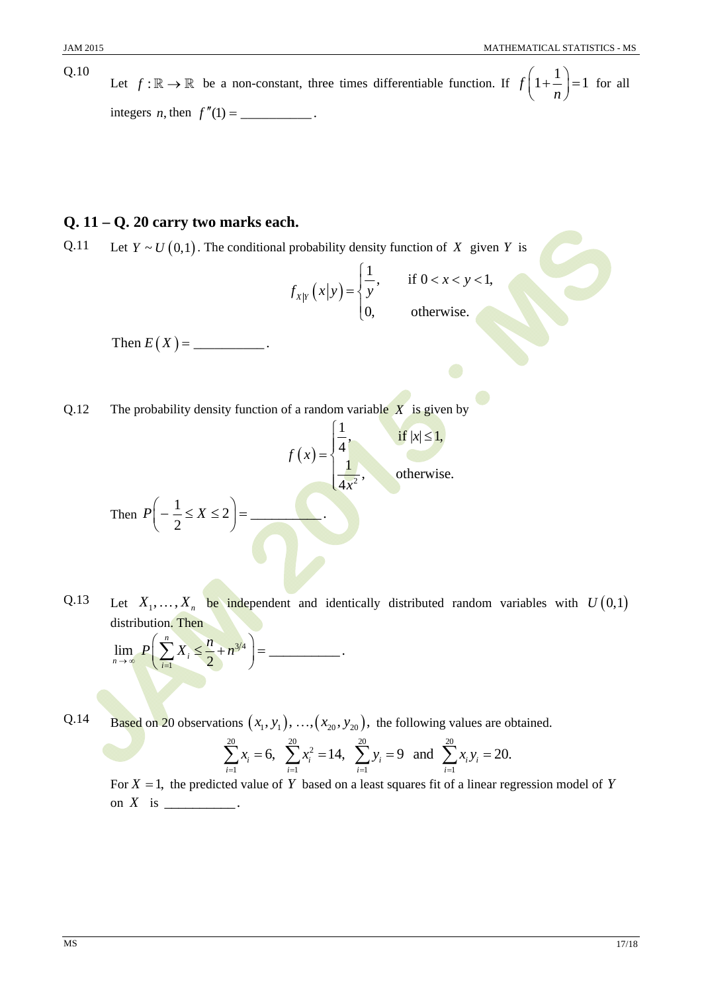Q.10 Let  $f: \mathbb{R} \to \mathbb{R}$  be a non-constant, three times differentiable function. If  $f\left(1 + \frac{1}{\cdot}\right) = 1$  $\left(1+\frac{1}{n}\right)=1$  for all integers *n*, then  $f''(1) =$  \_\_\_\_\_\_\_\_\_\_\_\_\_.

# **Q. 11 – Q. 20 carry two marks each.**

Q.11 Let  $Y \sim U(0,1)$ . The conditional probability density function of *X* given *Y* is

$$
f_{x|y}\left(x|y\right) = \begin{cases} \frac{1}{y}, & \text{if } 0 < x < y < 1, \\ 0, & \text{otherwise.} \end{cases}
$$

Then  $E(X) =$  \_\_\_\_\_\_\_\_\_\_\_\_\_\_\_.

Q.12 The probability density function of a random variable  $\overline{X}$  is given by

$$
f(x) = \begin{cases} \frac{1}{4}, & \text{if } |x| \le 1, \\ \frac{1}{4x^2}, & \text{otherwise.} \end{cases}
$$
  
Then  $P\left(-\frac{1}{2} \le X \le 2\right) = \frac{1}{2}$ 

Q.13 Let  $X_1, \ldots, X_n$  be independent and identically distributed random variables with  $U(0,1)$ distribution. Then

$$
\lim_{n\to\infty} P\bigg(\sum_{i=1}^n X_i \leq \frac{n}{2} + n^{3/4}\bigg) = \underline{\qquad}.
$$

Q.14 Based on 20 observations  $(x_1, y_1), ..., (x_{20}, y_{20})$ , the following values are obtained.

$$
\sum_{i=1}^{20} x_i = 6, \quad \sum_{i=1}^{20} x_i^2 = 14, \quad \sum_{i=1}^{20} y_i = 9 \quad \text{and} \quad \sum_{i=1}^{20} x_i y_i = 20.
$$

For  $X = 1$ , the predicted value of Y based on a least squares fit of a linear regression model of Y on *X* is \_\_\_\_\_\_\_\_\_\_.